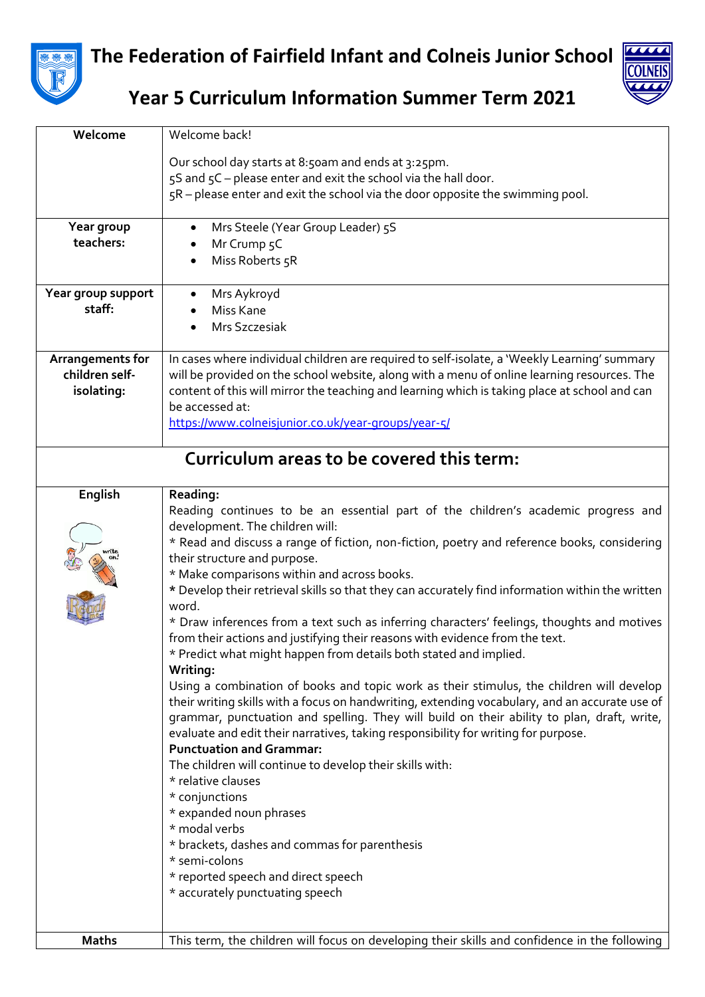

**The Federation of Fairfield Infant and Colneis Junior School**



**Year 5 Curriculum Information Summer Term 2021**

| Welcome                                   | Welcome back!                                                                                             |  |
|-------------------------------------------|-----------------------------------------------------------------------------------------------------------|--|
|                                           | Our school day starts at 8:50am and ends at 3:25pm.                                                       |  |
|                                           | 5S and 5C - please enter and exit the school via the hall door.                                           |  |
|                                           | 5R - please enter and exit the school via the door opposite the swimming pool.                            |  |
|                                           |                                                                                                           |  |
| Year group                                | Mrs Steele (Year Group Leader) 5S<br>$\bullet$                                                            |  |
| teachers:                                 | Mr Crump 5C                                                                                               |  |
|                                           | Miss Roberts 5R<br>٠                                                                                      |  |
|                                           |                                                                                                           |  |
| Year group support                        | Mrs Aykroyd                                                                                               |  |
| staff:                                    | Miss Kane                                                                                                 |  |
|                                           | Mrs Szczesiak                                                                                             |  |
|                                           |                                                                                                           |  |
| Arrangements for                          | In cases where individual children are required to self-isolate, a 'Weekly Learning' summary              |  |
| children self-                            | will be provided on the school website, along with a menu of online learning resources. The               |  |
| isolating:                                | content of this will mirror the teaching and learning which is taking place at school and can             |  |
|                                           | be accessed at:                                                                                           |  |
|                                           | https://www.colneisjunior.co.uk/year-groups/year-5/                                                       |  |
|                                           |                                                                                                           |  |
| Curriculum areas to be covered this term: |                                                                                                           |  |
|                                           |                                                                                                           |  |
| English                                   | Reading:                                                                                                  |  |
|                                           | Reading continues to be an essential part of the children's academic progress and                         |  |
|                                           | development. The children will:                                                                           |  |
|                                           | * Read and discuss a range of fiction, non-fiction, poetry and reference books, considering               |  |
|                                           | their structure and purpose.                                                                              |  |
|                                           | * Make comparisons within and across books.                                                               |  |
|                                           | * Develop their retrieval skills so that they can accurately find information within the written<br>word. |  |
|                                           | * Draw inferences from a text such as inferring characters' feelings, thoughts and motives                |  |
|                                           | from their actions and justifying their reasons with evidence from the text.                              |  |
|                                           | * Predict what might happen from details both stated and implied.                                         |  |
|                                           | Writing:                                                                                                  |  |
|                                           | Using a combination of books and topic work as their stimulus, the children will develop                  |  |
|                                           | their writing skills with a focus on handwriting, extending vocabulary, and an accurate use of            |  |
|                                           | grammar, punctuation and spelling. They will build on their ability to plan, draft, write,                |  |
|                                           | evaluate and edit their narratives, taking responsibility for writing for purpose.                        |  |
|                                           | <b>Punctuation and Grammar:</b>                                                                           |  |
|                                           | The children will continue to develop their skills with:                                                  |  |
|                                           | * relative clauses                                                                                        |  |
|                                           | * conjunctions                                                                                            |  |
|                                           | * expanded noun phrases                                                                                   |  |
|                                           | * modal verbs                                                                                             |  |
|                                           | * brackets, dashes and commas for parenthesis<br>* semi-colons                                            |  |
|                                           | * reported speech and direct speech                                                                       |  |
|                                           | * accurately punctuating speech                                                                           |  |
|                                           |                                                                                                           |  |
|                                           |                                                                                                           |  |
| <b>Maths</b>                              | This term, the children will focus on developing their skills and confidence in the following             |  |
|                                           |                                                                                                           |  |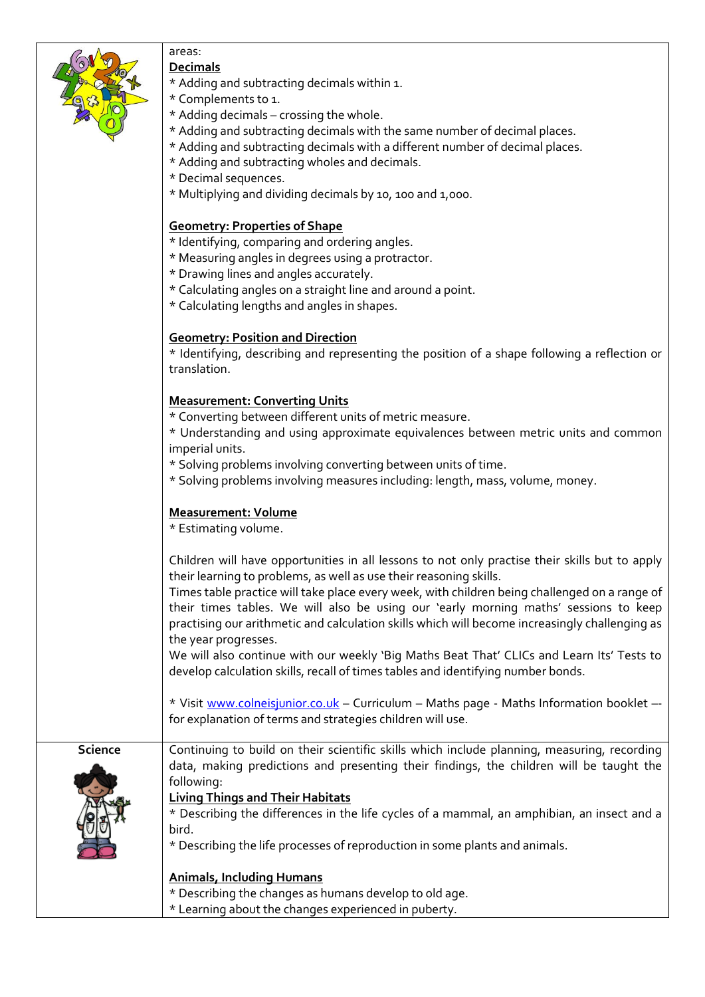|  | areas:                                                                                         |
|--|------------------------------------------------------------------------------------------------|
|  | <b>Decimals</b>                                                                                |
|  | * Adding and subtracting decimals within 1.                                                    |
|  | * Complements to 1.                                                                            |
|  | * Adding decimals - crossing the whole.                                                        |
|  | * Adding and subtracting decimals with the same number of decimal places.                      |
|  | * Adding and subtracting decimals with a different number of decimal places.                   |
|  | * Adding and subtracting wholes and decimals.                                                  |
|  | * Decimal sequences.                                                                           |
|  | * Multiplying and dividing decimals by 10, 100 and 1,000.                                      |
|  |                                                                                                |
|  | <b>Geometry: Properties of Shape</b>                                                           |
|  | * Identifying, comparing and ordering angles.                                                  |
|  | * Measuring angles in degrees using a protractor.                                              |
|  | * Drawing lines and angles accurately.                                                         |
|  | * Calculating angles on a straight line and around a point.                                    |
|  | * Calculating lengths and angles in shapes.                                                    |
|  |                                                                                                |
|  | <b>Geometry: Position and Direction</b>                                                        |
|  | * Identifying, describing and representing the position of a shape following a reflection or   |
|  | translation.                                                                                   |
|  |                                                                                                |
|  | <b>Measurement: Converting Units</b>                                                           |
|  | * Converting between different units of metric measure.                                        |
|  | * Understanding and using approximate equivalences between metric units and common             |
|  | imperial units.                                                                                |
|  | * Solving problems involving converting between units of time.                                 |
|  | * Solving problems involving measures including: length, mass, volume, money.                  |
|  |                                                                                                |
|  | <b>Measurement: Volume</b>                                                                     |
|  | * Estimating volume.                                                                           |
|  |                                                                                                |
|  | Children will have opportunities in all lessons to not only practise their skills but to apply |
|  | their learning to problems, as well as use their reasoning skills.                             |
|  | Times table practice will take place every week, with children being challenged on a range of  |
|  | their times tables. We will also be using our 'early morning maths' sessions to keep           |
|  | practising our arithmetic and calculation skills which will become increasingly challenging as |
|  | the year progresses.                                                                           |
|  | We will also continue with our weekly 'Big Maths Beat That' CLICs and Learn Its' Tests to      |
|  | develop calculation skills, recall of times tables and identifying number bonds.               |
|  |                                                                                                |
|  | * Visit www.colneisjunior.co.uk - Curriculum - Maths page - Maths Information booklet --       |

**Science** | Continuing to build on their scientific skills which include planning, measuring, recording data, making predictions and presenting their findings, the children will be taught the following: **Living Things and Their Habitats** \* Describing the differences in the life cycles of a mammal, an amphibian, an insect and a bird. \* Describing the life processes of reproduction in some plants and animals. **Animals, Including Humans** \* Describing the changes as humans develop to old age. \* Learning about the changes experienced in puberty.

for explanation of terms and strategies children will use.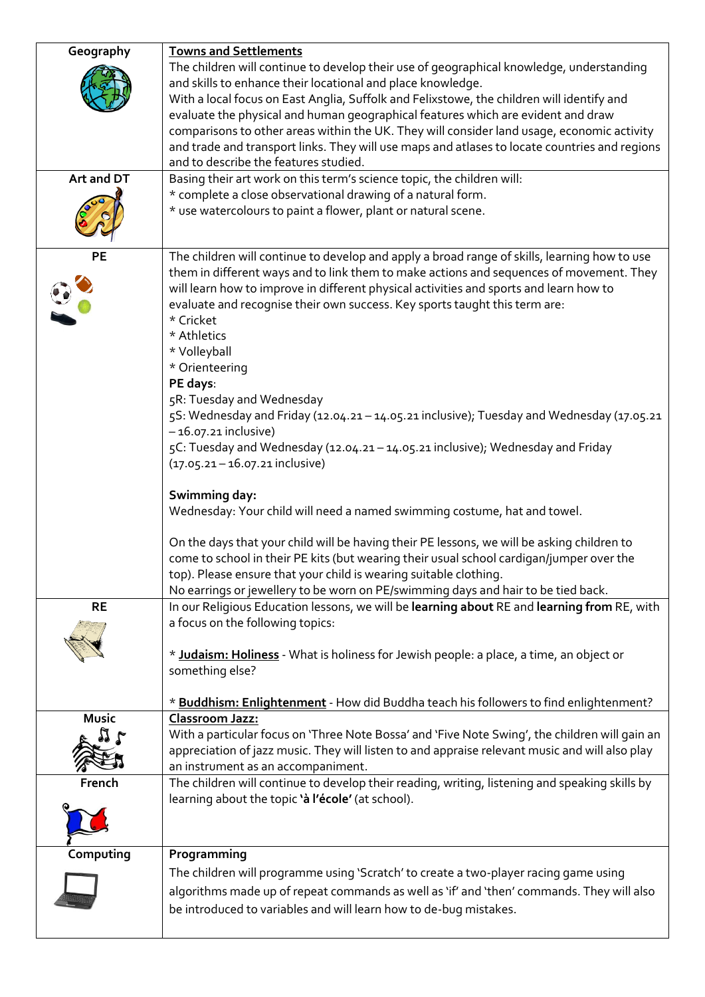| Geography    | <b>Towns and Settlements</b>                                                                   |
|--------------|------------------------------------------------------------------------------------------------|
|              | The children will continue to develop their use of geographical knowledge, understanding       |
|              | and skills to enhance their locational and place knowledge.                                    |
|              | With a local focus on East Anglia, Suffolk and Felixstowe, the children will identify and      |
|              | evaluate the physical and human geographical features which are evident and draw               |
|              | comparisons to other areas within the UK. They will consider land usage, economic activity     |
|              | and trade and transport links. They will use maps and atlases to locate countries and regions  |
|              | and to describe the features studied.                                                          |
| Art and DT   | Basing their art work on this term's science topic, the children will:                         |
|              | * complete a close observational drawing of a natural form.                                    |
|              | * use watercolours to paint a flower, plant or natural scene.                                  |
|              |                                                                                                |
|              |                                                                                                |
| <b>PE</b>    | The children will continue to develop and apply a broad range of skills, learning how to use   |
|              | them in different ways and to link them to make actions and sequences of movement. They        |
|              | will learn how to improve in different physical activities and sports and learn how to         |
|              | evaluate and recognise their own success. Key sports taught this term are:                     |
|              | * Cricket                                                                                      |
|              | * Athletics                                                                                    |
|              | * Volleyball                                                                                   |
|              | * Orienteering                                                                                 |
|              | PE days:                                                                                       |
|              | 5R: Tuesday and Wednesday                                                                      |
|              | 5S: Wednesday and Friday (12.04.21 - 14.05.21 inclusive); Tuesday and Wednesday (17.05.21      |
|              | $-16.07.21$ inclusive)                                                                         |
|              | 5C: Tuesday and Wednesday (12.04.21 - 14.05.21 inclusive); Wednesday and Friday                |
|              | (17.05.21 - 16.07.21 inclusive)                                                                |
|              |                                                                                                |
|              | Swimming day:                                                                                  |
|              | Wednesday: Your child will need a named swimming costume, hat and towel.                       |
|              |                                                                                                |
|              | On the days that your child will be having their PE lessons, we will be asking children to     |
|              | come to school in their PE kits (but wearing their usual school cardigan/jumper over the       |
|              | top). Please ensure that your child is wearing suitable clothing.                              |
|              | No earrings or jewellery to be worn on PE/swimming days and hair to be tied back.              |
| <b>RE</b>    | In our Religious Education lessons, we will be learning about RE and learning from RE, with    |
|              | a focus on the following topics:                                                               |
|              |                                                                                                |
|              | * Judaism: Holiness - What is holiness for Jewish people: a place, a time, an object or        |
|              | something else?                                                                                |
|              |                                                                                                |
|              | * Buddhism: Enlightenment - How did Buddha teach his followers to find enlightenment?          |
| <b>Music</b> | <b>Classroom Jazz:</b>                                                                         |
|              | With a particular focus on 'Three Note Bossa' and 'Five Note Swing', the children will gain an |
|              | appreciation of jazz music. They will listen to and appraise relevant music and will also play |
|              | an instrument as an accompaniment.                                                             |
| French       | The children will continue to develop their reading, writing, listening and speaking skills by |
|              | learning about the topic 'à l'école' (at school).                                              |
|              |                                                                                                |
|              |                                                                                                |
| Computing    | Programming                                                                                    |
|              |                                                                                                |
|              | The children will programme using 'Scratch' to create a two-player racing game using           |
|              | algorithms made up of repeat commands as well as 'if' and 'then' commands. They will also      |
|              | be introduced to variables and will learn how to de-bug mistakes.                              |
|              |                                                                                                |
|              |                                                                                                |